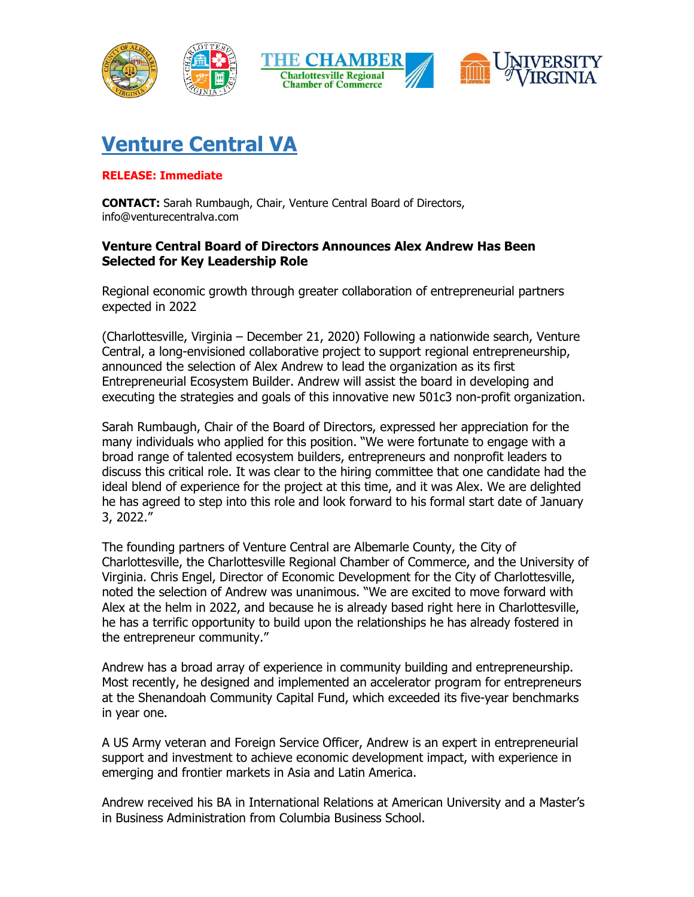

## **Venture Central VA**

## **RELEASE: Immediate**

**CONTACT:** Sarah Rumbaugh, Chair, Venture Central Board of Directors, info@venturecentralva.com

## **Venture Central Board of Directors Announces Alex Andrew Has Been Selected for Key Leadership Role**

Regional economic growth through greater collaboration of entrepreneurial partners expected in 2022

(Charlottesville, Virginia – December 21, 2020) Following a nationwide search, Venture Central, a long-envisioned collaborative project to support regional entrepreneurship, announced the selection of Alex Andrew to lead the organization as its first Entrepreneurial Ecosystem Builder. Andrew will assist the board in developing and executing the strategies and goals of this innovative new 501c3 non-profit organization.

Sarah Rumbaugh, Chair of the Board of Directors, expressed her appreciation for the many individuals who applied for this position. "We were fortunate to engage with a broad range of talented ecosystem builders, entrepreneurs and nonprofit leaders to discuss this critical role. It was clear to the hiring committee that one candidate had the ideal blend of experience for the project at this time, and it was Alex. We are delighted he has agreed to step into this role and look forward to his formal start date of January 3, 2022."

The founding partners of Venture Central are Albemarle County, the City of Charlottesville, the Charlottesville Regional Chamber of Commerce, and the University of Virginia. Chris Engel, Director of Economic Development for the City of Charlottesville, noted the selection of Andrew was unanimous. "We are excited to move forward with Alex at the helm in 2022, and because he is already based right here in Charlottesville, he has a terrific opportunity to build upon the relationships he has already fostered in the entrepreneur community."

Andrew has a broad array of experience in community building and entrepreneurship. Most recently, he designed and implemented an accelerator program for entrepreneurs at the Shenandoah Community Capital Fund, which exceeded its five-year benchmarks in year one.

A US Army veteran and Foreign Service Officer, Andrew is an expert in entrepreneurial support and investment to achieve economic development impact, with experience in emerging and frontier markets in Asia and Latin America.

Andrew received his BA in International Relations at American University and a Master's in Business Administration from Columbia Business School.